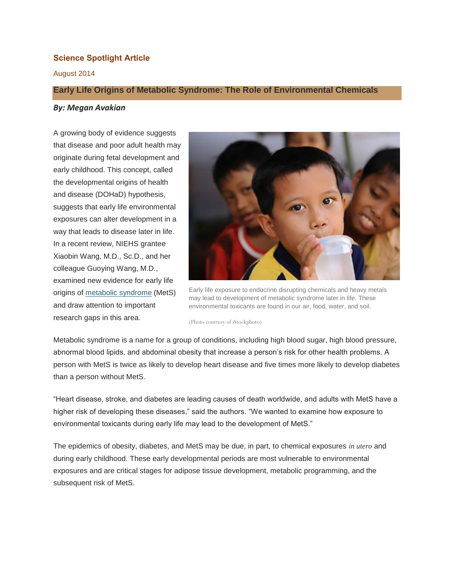# **Science Spotlight Article**

## August 2014

### **Early Life Origins of Metabolic Syndrome: The Role of Environmental Chemicals**

#### *By: Megan Avakian*

A growing body of evidence suggests that disease and poor adult health may originate during fetal development and early childhood. This concept, called the developmental origins of health and disease (DOHaD) hypothesis, suggests that early life environmental exposures can alter development in a way that leads to disease later in life. In a recent review, NIEHS grantee Xiaobin Wang, M.D., Sc.D., and her colleague Guoying Wang, M.D., examined new evidence for early life origins of [metabolic syndrome](http://www.nhlbi.nih.gov/health/health-topics/topics/ms/) (MetS) and draw attention to important research gaps in this area.



Early life exposure to endocrine disrupting chemicals and heavy metals may lead to development of metabolic syndrome later in life. These environmental toxicants are found in our air, food, water, and soil.

(Photo courtesy of iStockphoto)

Metabolic syndrome is a name for a group of conditions, including high blood sugar, high blood pressure, abnormal blood lipids, and abdominal obesity that increase a person's risk for other health problems. A person with MetS is twice as likely to develop heart disease and five times more likely to develop diabetes than a person without MetS.

"Heart disease, stroke, and diabetes are leading causes of death worldwide, and adults with MetS have a higher risk of developing these diseases," said the authors. "We wanted to examine how exposure to environmental toxicants during early life may lead to the development of MetS."

The epidemics of obesity, diabetes, and MetS may be due, in part, to chemical exposures *in utero* and during early childhood. These early developmental periods are most vulnerable to environmental exposures and are critical stages for adipose tissue development, metabolic programming, and the subsequent risk of MetS.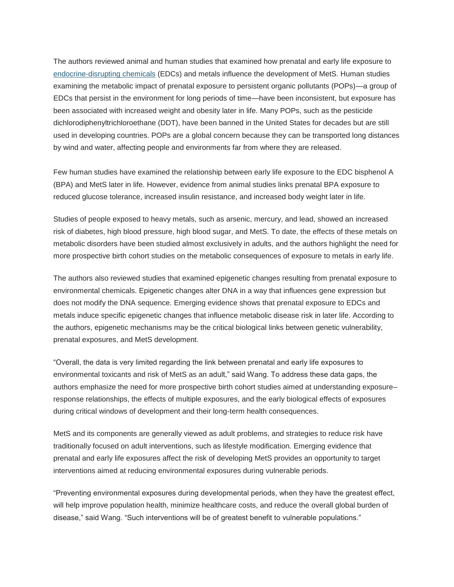The authors reviewed animal and human studies that examined how prenatal and early life exposure to [endocrine-disrupting chemicals](http://edit:9992/Rhythmyx/assembler/render?sys_contentid=9488&sys_revision=46&sys_folderid=7326&sys_context=0&sys_siteid=305&sys_variantid=925&sys_authtype=0) (EDCs) and metals influence the development of MetS. Human studies examining the metabolic impact of prenatal exposure to persistent organic pollutants (POPs)—a group of EDCs that persist in the environment for long periods of time—have been inconsistent, but exposure has been associated with increased weight and obesity later in life. Many POPs, such as the pesticide dichlorodiphenyltrichloroethane (DDT), have been banned in the United States for decades but are still used in developing countries. POPs are a global concern because they can be transported long distances by wind and water, affecting people and environments far from where they are released.

Few human studies have examined the relationship between early life exposure to the EDC bisphenol A (BPA) and MetS later in life. However, evidence from animal studies links prenatal BPA exposure to reduced glucose tolerance, increased insulin resistance, and increased body weight later in life.

Studies of people exposed to heavy metals, such as arsenic, mercury, and lead, showed an increased risk of diabetes, high blood pressure, high blood sugar, and MetS. To date, the effects of these metals on metabolic disorders have been studied almost exclusively in adults, and the authors highlight the need for more prospective birth cohort studies on the metabolic consequences of exposure to metals in early life.

The authors also reviewed studies that examined epigenetic changes resulting from prenatal exposure to environmental chemicals. Epigenetic changes alter DNA in a way that influences gene expression but does not modify the DNA sequence. Emerging evidence shows that prenatal exposure to EDCs and metals induce specific epigenetic changes that influence metabolic disease risk in later life. According to the authors, epigenetic mechanisms may be the critical biological links between genetic vulnerability, prenatal exposures, and MetS development.

"Overall, the data is very limited regarding the link between prenatal and early life exposures to environmental toxicants and risk of MetS as an adult," said Wang. To address these data gaps, the authors emphasize the need for more prospective birth cohort studies aimed at understanding exposure– response relationships, the effects of multiple exposures, and the early biological effects of exposures during critical windows of development and their long-term health consequences.

MetS and its components are generally viewed as adult problems, and strategies to reduce risk have traditionally focused on adult interventions, such as lifestyle modification. Emerging evidence that prenatal and early life exposures affect the risk of developing MetS provides an opportunity to target interventions aimed at reducing environmental exposures during vulnerable periods.

"Preventing environmental exposures during developmental periods, when they have the greatest effect, will help improve population health, minimize healthcare costs, and reduce the overall global burden of disease," said Wang. "Such interventions will be of greatest benefit to vulnerable populations."